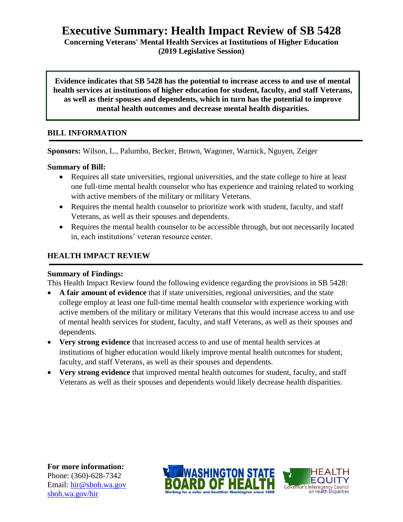# **Executive Summary: Health Impact Review of SB 5428**

**Concerning Veterans' Mental Health Services at Institutions of Higher Education (2019 Legislative Session)**

**Evidence indicates that SB 5428 has the potential to increase access to and use of mental health services at institutions of higher education for student, faculty, and staff Veterans, as well as their spouses and dependents, which in turn has the potential to improve mental health outcomes and decrease mental health disparities.**

## **BILL INFORMATION**

**Sponsors:** Wilson, L., Palumbo, Becker, Brown, Wagoner, Warnick, Nguyen, Zeiger

**Summary of Bill:** 

- Requires all state universities, regional universities, and the state college to hire at least one full-time mental health counselor who has experience and training related to working with active members of the military or military Veterans.
- Requires the mental health counselor to prioritize work with student, faculty, and staff Veterans, as well as their spouses and dependents.
- Requires the mental health counselor to be accessible through, but not necessarily located in, each institutions' veteran resource center.

## **HEALTH IMPACT REVIEW**

## **Summary of Findings:**

This Health Impact Review found the following evidence regarding the provisions in SB 5428:

- **A fair amount of evidence** that if state universities, regional universities, and the state college employ at least one full-time mental health counselor with experience working with active members of the military or military Veterans that this would increase access to and use of mental health services for student, faculty, and staff Veterans, as well as their spouses and dependents.
- **Very strong evidence** that increased access to and use of mental health services at institutions of higher education would likely improve mental health outcomes for student, faculty, and staff Veterans, as well as their spouses and dependents.
- **Very strong evidence** that improved mental health outcomes for student, faculty, and staff Veterans as well as their spouses and dependents would likely decrease health disparities.

**For more information:** Phone: (360)-628-7342 Email: [hir@sboh.wa.gov](mailto:hir@sboh.wa.gov) [sboh.wa.gov/](http://sboh.wa.gov/)hir



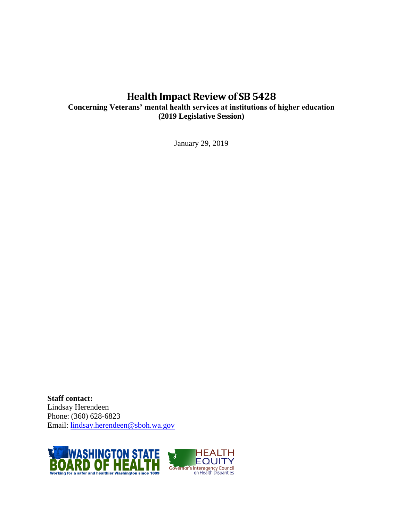## **Health Impact Review of SB 5428**

**Concerning Veterans' mental health services at institutions of higher education (2019 Legislative Session)**

January 29, 2019

**Staff contact:** Lindsay Herendeen Phone: (360) 628-6823 Email: [lindsay.herendeen@sboh.wa.gov](mailto:lindsay.herendeen@sboh.wa.gov)

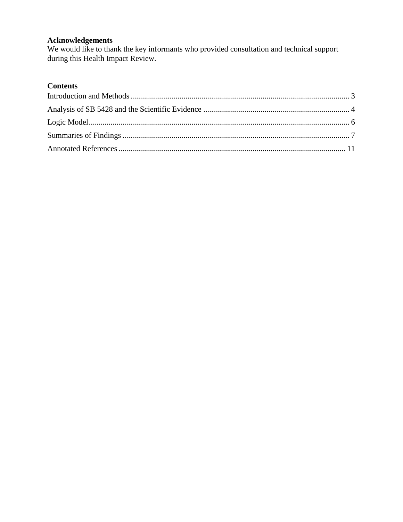## **Acknowledgements**

We would like to thank the key informants who provided consultation and technical support during this Health Impact Review.

## **Contents**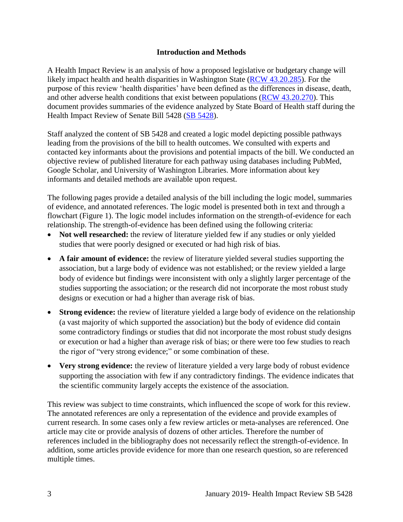## **Introduction and Methods**

<span id="page-3-0"></span>A Health Impact Review is an analysis of how a proposed legislative or budgetary change will likely impact health and health disparities in Washington State [\(RCW 43.20.285\)](http://apps.leg.wa.gov/rcw/default.aspx?cite=43.20.285). For the purpose of this review 'health disparities' have been defined as the differences in disease, death, and other adverse health conditions that exist between populations [\(RCW 43.20.270\)](http://apps.leg.wa.gov/rcw/default.aspx?cite=43.20.270). This document provides summaries of the evidence analyzed by State Board of Health staff during the Health Impact Review of Senate Bill 5428 [\(SB 5428\)](https://app.leg.wa.gov/billsummary?BillNumber=5428&Initiative=false&Year=2019).

Staff analyzed the content of SB 5428 and created a logic model depicting possible pathways leading from the provisions of the bill to health outcomes. We consulted with experts and contacted key informants about the provisions and potential impacts of the bill. We conducted an objective review of published literature for each pathway using databases including PubMed, Google Scholar, and University of Washington Libraries. More information about key informants and detailed methods are available upon request.

The following pages provide a detailed analysis of the bill including the logic model, summaries of evidence, and annotated references. The logic model is presented both in text and through a flowchart (Figure 1). The logic model includes information on the strength-of-evidence for each relationship. The strength-of-evidence has been defined using the following criteria:

- Not well researched: the review of literature yielded few if any studies or only yielded studies that were poorly designed or executed or had high risk of bias.
- **A fair amount of evidence:** the review of literature yielded several studies supporting the association, but a large body of evidence was not established; or the review yielded a large body of evidence but findings were inconsistent with only a slightly larger percentage of the studies supporting the association; or the research did not incorporate the most robust study designs or execution or had a higher than average risk of bias.
- **Strong evidence:** the review of literature yielded a large body of evidence on the relationship (a vast majority of which supported the association) but the body of evidence did contain some contradictory findings or studies that did not incorporate the most robust study designs or execution or had a higher than average risk of bias; or there were too few studies to reach the rigor of "very strong evidence;" or some combination of these.
- Very strong evidence: the review of literature yielded a very large body of robust evidence supporting the association with few if any contradictory findings. The evidence indicates that the scientific community largely accepts the existence of the association.

This review was subject to time constraints, which influenced the scope of work for this review. The annotated references are only a representation of the evidence and provide examples of current research. In some cases only a few review articles or meta-analyses are referenced. One article may cite or provide analysis of dozens of other articles. Therefore the number of references included in the bibliography does not necessarily reflect the strength-of-evidence. In addition, some articles provide evidence for more than one research question, so are referenced multiple times.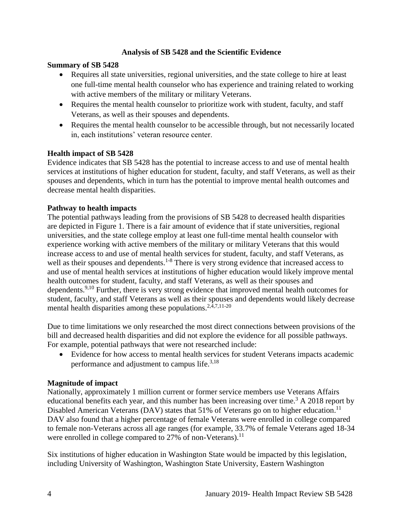## **Analysis of SB 5428 and the Scientific Evidence**

### <span id="page-4-0"></span>**Summary of SB 5428**

- Requires all state universities, regional universities, and the state college to hire at least one full-time mental health counselor who has experience and training related to working with active members of the military or military Veterans.
- Requires the mental health counselor to prioritize work with student, faculty, and staff Veterans, as well as their spouses and dependents.
- Requires the mental health counselor to be accessible through, but not necessarily located in, each institutions' veteran resource center.

### **Health impact of SB 5428**

Evidence indicates that SB 5428 has the potential to increase access to and use of mental health services at institutions of higher education for student, faculty, and staff Veterans, as well as their spouses and dependents, which in turn has the potential to improve mental health outcomes and decrease mental health disparities.

### **Pathway to health impacts**

The potential pathways leading from the provisions of SB 5428 to decreased health disparities are depicted in Figure 1. There is a fair amount of evidence that if state universities, regional universities, and the state college employ at least one full-time mental health counselor with experience working with active members of the military or military Veterans that this would increase access to and use of mental health services for student, faculty, and staff Veterans, as well as their spouses and dependents.<sup>1-8</sup> There is very strong evidence that increased access to and use of mental health services at institutions of higher education would likely improve mental health outcomes for student, faculty, and staff Veterans, as well as their spouses and dependents.<sup>[9,](#page-15-0)[10](#page-15-1)</sup> Further, there is very strong evidence that improved mental health outcomes for student, faculty, and staff Veterans as well as their spouses and dependents would likely decrease mental health disparities among these populations. $2,4,7,11-20$  $2,4,7,11-20$  $2,4,7,11-20$  $2,4,7,11-20$ 

Due to time limitations we only researched the most direct connections between provisions of the bill and decreased health disparities and did not explore the evidence for all possible pathways. For example, potential pathways that were not researched include:

 Evidence for how access to mental health services for student Veterans impacts academic performance and adjustment to campus life.<sup>[3,](#page-11-1)[18](#page-19-0)</sup>

#### **Magnitude of impact**

Nationally, approximately 1 million current or former service members use Veterans Affairs educational benefits each year, and this number has been increasing over time.<sup>3</sup> A 2018 report by Disabled American Veterans (DAV) states that 51% of Veterans go on to higher education.<sup>11</sup> DAV also found that a higher percentage of female Veterans were enrolled in college compared to female non-Veterans across all age ranges (for example, 33.7% of female Veterans aged 18-34 were enrolled in college compared to  $27\%$  of non-Veterans).<sup>11</sup>

Six institutions of higher education in Washington State would be impacted by this legislation, including University of Washington, Washington State University, Eastern Washington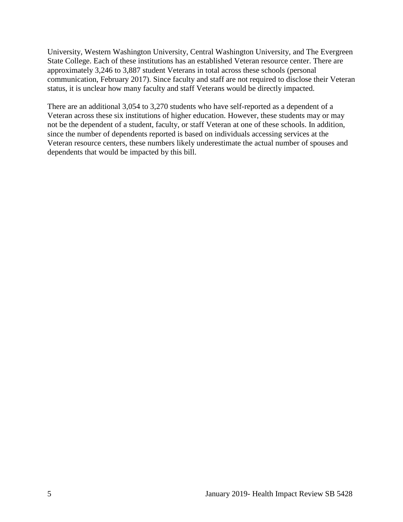University, Western Washington University, Central Washington University, and The Evergreen State College. Each of these institutions has an established Veteran resource center. There are approximately 3,246 to 3,887 student Veterans in total across these schools (personal communication, February 2017). Since faculty and staff are not required to disclose their Veteran status, it is unclear how many faculty and staff Veterans would be directly impacted.

There are an additional 3,054 to 3,270 students who have self-reported as a dependent of a Veteran across these six institutions of higher education. However, these students may or may not be the dependent of a student, faculty, or staff Veteran at one of these schools. In addition, since the number of dependents reported is based on individuals accessing services at the Veteran resource centers, these numbers likely underestimate the actual number of spouses and dependents that would be impacted by this bill.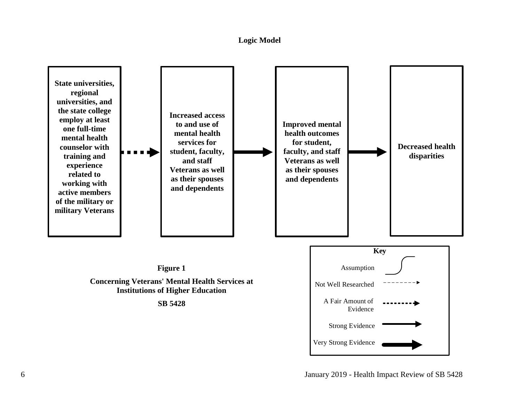#### **Logic Model**

<span id="page-6-0"></span>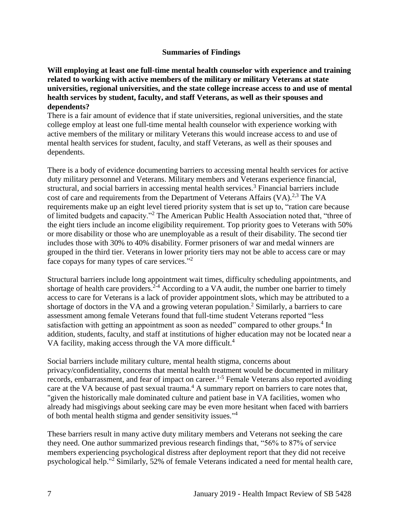#### **Summaries of Findings**

<span id="page-7-0"></span>**Will employing at least one full-time mental health counselor with experience and training related to working with active members of the military or military Veterans at state universities, regional universities, and the state college increase access to and use of mental health services by student, faculty, and staff Veterans, as well as their spouses and dependents?**

There is a fair amount of evidence that if state universities, regional universities, and the state college employ at least one full-time mental health counselor with experience working with active members of the military or military Veterans this would increase access to and use of mental health services for student, faculty, and staff Veterans, as well as their spouses and dependents.

There is a body of evidence documenting barriers to accessing mental health services for active duty military personnel and Veterans. Military members and Veterans experience financial, structural, and social barriers in accessing mental health services.<sup>3</sup> Financial barriers include cost of care and requirements from the Department of Veterans Affairs  $(VA)$ <sup>[2,](#page-11-0)[3](#page-11-1)</sup> The VA requirements make up an eight level tiered priority system that is set up to, "ration care because of limited budgets and capacity."<sup>2</sup> The American Public Health Association noted that, "three of the eight tiers include an income eligibility requirement. Top priority goes to Veterans with 50% or more disability or those who are unemployable as a result of their disability. The second tier includes those with 30% to 40% disability. Former prisoners of war and medal winners are grouped in the third tier. Veterans in lower priority tiers may not be able to access care or may face copays for many types of care services."<sup>2</sup>

Structural barriers include long appointment wait times, difficulty scheduling appointments, and shortage of health care providers.<sup>2-4</sup> According to a VA audit, the number one barrier to timely access to care for Veterans is a lack of provider appointment slots, which may be attributed to a shortage of doctors in the VA and a growing veteran population.<sup>2</sup> Similarly, a barriers to care assessment among female Veterans found that full-time student Veterans reported "less satisfaction with getting an appointment as soon as needed" compared to other groups.<sup>4</sup> In addition, students, faculty, and staff at institutions of higher education may not be located near a VA facility, making access through the VA more difficult.<sup>4</sup>

Social barriers include military culture, mental health stigma, concerns about privacy/confidentiality, concerns that mental health treatment would be documented in military records, embarrassment, and fear of impact on career.<sup>1-5</sup> Female Veterans also reported avoiding care at the VA because of past sexual trauma.<sup>4</sup> A summary report on barriers to care notes that, "given the historically male dominated culture and patient base in VA facilities, women who already had misgivings about seeking care may be even more hesitant when faced with barriers of both mental health stigma and gender sensitivity issues."<sup>4</sup>

These barriers result in many active duty military members and Veterans not seeking the care they need. One author summarized previous research findings that, "56% to 87% of service members experiencing psychological distress after deployment report that they did not receive psychological help."<sup>2</sup> Similarly, 52% of female Veterans indicated a need for mental health care,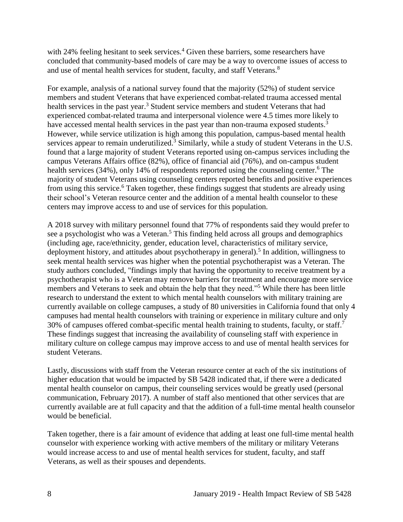with 24% feeling hesitant to seek services.<sup>4</sup> Given these barriers, some researchers have concluded that community-based models of care may be a way to overcome issues of access to and use of mental health services for student, faculty, and staff Veterans.<sup>8</sup>

For example, analysis of a national survey found that the majority (52%) of student service members and student Veterans that have experienced combat-related trauma accessed mental health services in the past year.<sup>3</sup> Student service members and student Veterans that had experienced combat-related trauma and interpersonal violence were 4.5 times more likely to have accessed mental health services in the past year than non-trauma exposed students.<sup>3</sup> However, while service utilization is high among this population, campus-based mental health services appear to remain underutilized.<sup>3</sup> Similarly, while a study of student Veterans in the U.S. found that a large majority of student Veterans reported using on-campus services including the campus Veterans Affairs office (82%), office of financial aid (76%), and on-campus student health services (34%), only 14% of respondents reported using the counseling center.<sup>6</sup> The majority of student Veterans using counseling centers reported benefits and positive experiences from using this service.<sup>6</sup> Taken together, these findings suggest that students are already using their school's Veteran resource center and the addition of a mental health counselor to these centers may improve access to and use of services for this population.

A 2018 survey with military personnel found that 77% of respondents said they would prefer to see a psychologist who was a Veteran.<sup>5</sup> This finding held across all groups and demographics (including age, race/ethnicity, gender, education level, characteristics of military service, deployment history, and attitudes about psychotherapy in general).<sup>5</sup> In addition, willingness to seek mental health services was higher when the potential psychotherapist was a Veteran. The study authors concluded, "findings imply that having the opportunity to receive treatment by a psychotherapist who is a Veteran may remove barriers for treatment and encourage more service members and Veterans to seek and obtain the help that they need."<sup>5</sup> While there has been little research to understand the extent to which mental health counselors with military training are currently available on college campuses, a study of 80 universities in California found that only 4 campuses had mental health counselors with training or experience in military culture and only 30% of campuses offered combat-specific mental health training to students, faculty, or staff.<sup>7</sup> These findings suggest that increasing the availability of counseling staff with experience in military culture on college campus may improve access to and use of mental health services for student Veterans.

Lastly, discussions with staff from the Veteran resource center at each of the six institutions of higher education that would be impacted by SB 5428 indicated that, if there were a dedicated mental health counselor on campus, their counseling services would be greatly used (personal communication, February 2017). A number of staff also mentioned that other services that are currently available are at full capacity and that the addition of a full-time mental health counselor would be beneficial.

Taken together, there is a fair amount of evidence that adding at least one full-time mental health counselor with experience working with active members of the military or military Veterans would increase access to and use of mental health services for student, faculty, and staff Veterans, as well as their spouses and dependents.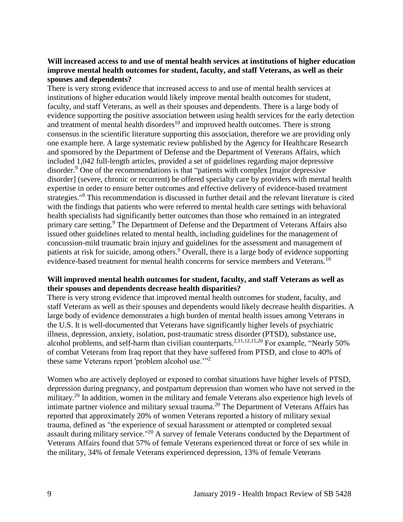## **Will increased access to and use of mental health services at institutions of higher education improve mental health outcomes for student, faculty, and staff Veterans, as well as their spouses and dependents?**

There is very strong evidence that increased access to and use of mental health services at institutions of higher education would likely improve mental health outcomes for student, faculty, and staff Veterans, as well as their spouses and dependents. There is a large body of evidence supporting the positive association between using health services for the early detection and treatment of mental health disorders<sup>10</sup> and improved health outcomes. There is strong consensus in the scientific literature supporting this association, therefore we are providing only one example here. A large systematic review published by the Agency for Healthcare Research and sponsored by the Department of Defense and the Department of Veterans Affairs, which included 1,042 full-length articles, provided a set of guidelines regarding major depressive disorder.<sup>9</sup> One of the recommendations is that "patients with complex [major depressive disorder] (severe, chronic or recurrent) be offered specialty care by providers with mental health expertise in order to ensure better outcomes and effective delivery of evidence-based treatment strategies."<sup>9</sup> This recommendation is discussed in further detail and the relevant literature is cited with the findings that patients who were referred to mental health care settings with behavioral health specialists had significantly better outcomes than those who remained in an integrated primary care setting.<sup>9</sup> The Department of Defense and the Department of Veterans Affairs also issued other guidelines related to mental health, including guidelines for the management of concussion-mild traumatic brain injury and guidelines for the assessment and management of patients at risk for suicide, among others.<sup>9</sup> Overall, there is a large body of evidence supporting evidence-based treatment for mental health concerns for service members and Veterans.<sup>10</sup>

### **Will improved mental health outcomes for student, faculty, and staff Veterans as well as their spouses and dependents decrease health disparities?**

There is very strong evidence that improved mental health outcomes for student, faculty, and staff Veterans as well as their spouses and dependents would likely decrease health disparities. A large body of evidence demonstrates a high burden of mental health issues among Veterans in the U.S. It is well-documented that Veterans have significantly higher levels of psychiatric illness, depression, anxiety, isolation, post-traumatic stress disorder (PTSD), substance use, alcohol problems, and self-harm than civilian counterparts.<sup>[2](#page-11-0)[,11](#page-16-0)[,12](#page-16-1)[,15](#page-17-0)[,20](#page-19-1)</sup> For example, "Nearly 50%" of combat Veterans from Iraq report that they have suffered from PTSD, and close to 40% of these same Veterans report 'problem alcohol use."<sup>2</sup>

Women who are actively deployed or exposed to combat situations have higher levels of PTSD, depression during pregnancy, and postpartum depression than women who have not served in the military.<sup>20</sup> In addition, women in the military and female Veterans also experience high levels of intimate partner violence and military sexual trauma.<sup>20</sup> The Department of Veterans Affairs has reported that approximately 20% of women Veterans reported a history of military sexual trauma, defined as "the experience of sexual harassment or attempted or completed sexual assault during military service."<sup>20</sup> A survey of female Veterans conducted by the Department of Veterans Affairs found that 57% of female Veterans experienced threat or force of sex while in the military, 34% of female Veterans experienced depression, 13% of female Veterans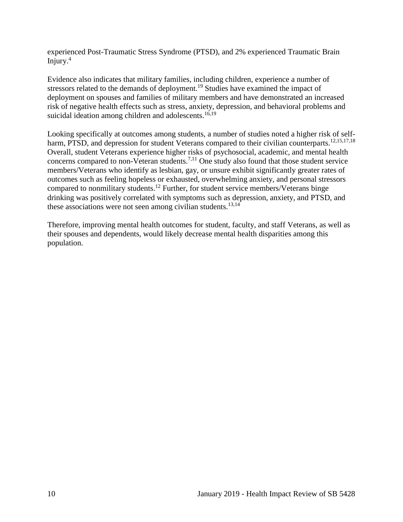experienced Post-Traumatic Stress Syndrome (PTSD), and 2% experienced Traumatic Brain Injury. $4$ 

Evidence also indicates that military families, including children, experience a number of stressors related to the demands of deployment.<sup>19</sup> Studies have examined the impact of deployment on spouses and families of military members and have demonstrated an increased risk of negative health effects such as stress, anxiety, depression, and behavioral problems and suicidal ideation among children and adolescents.<sup>[16,](#page-18-0)[19](#page-19-2)</sup>

Looking specifically at outcomes among students, a number of studies noted a higher risk of self-harm, PTSD, and depression for student Veterans compared to their civilian counterparts.<sup>[12](#page-16-1)[,15](#page-17-0)[,17](#page-18-1)[,18](#page-19-0)</sup> Overall, student Veterans experience higher risks of psychosocial, academic, and mental health concerns compared to non-Veteran students.[7,](#page-14-0)[11](#page-16-0) One study also found that those student service members/Veterans who identify as lesbian, gay, or unsure exhibit significantly greater rates of outcomes such as feeling hopeless or exhausted, overwhelming anxiety, and personal stressors compared to nonmilitary students.<sup>12</sup> Further, for student service members/Veterans binge drinking was positively correlated with symptoms such as depression, anxiety, and PTSD, and these associations were not seen among civilian students.<sup>[13,](#page-17-1)[14](#page-17-2)</sup>

<span id="page-10-0"></span>Therefore, improving mental health outcomes for student, faculty, and staff Veterans, as well as their spouses and dependents, would likely decrease mental health disparities among this population.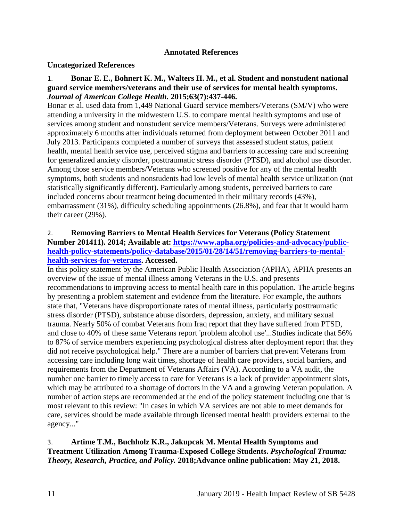#### **Annotated References**

#### **Uncategorized References**

### 1. **Bonar E. E., Bohnert K. M., Walters H. M., et al. Student and nonstudent national guard service members/veterans and their use of services for mental health symptoms.**  *Journal of American College Health.* **2015;63(7):437-446.**

Bonar et al. used data from 1,449 National Guard service members/Veterans (SM/V) who were attending a university in the midwestern U.S. to compare mental health symptoms and use of services among student and nonstudent service members/Veterans. Surveys were administered approximately 6 months after individuals returned from deployment between October 2011 and July 2013. Participants completed a number of surveys that assessed student status, patient health, mental health service use, perceived stigma and barriers to accessing care and screening for generalized anxiety disorder, posttraumatic stress disorder (PTSD), and alcohol use disorder. Among those service members/Veterans who screened positive for any of the mental health symptoms, both students and nonstudents had low levels of mental health service utilization (not statistically significantly different). Particularly among students, perceived barriers to care included concerns about treatment being documented in their military records (43%), embarrassment (31%), difficulty scheduling appointments (26.8%), and fear that it would harm their career (29%).

## <span id="page-11-0"></span>2. **Removing Barriers to Mental Health Services for Veterans (Policy Statement Number 201411). 2014; Available at: [https://www.apha.org/policies-and-advocacy/public](https://www.apha.org/policies-and-advocacy/public-health-policy-statements/policy-database/2015/01/28/14/51/removing-barriers-to-mental-health-services-for-veterans)[health-policy-statements/policy-database/2015/01/28/14/51/removing-barriers-to-mental](https://www.apha.org/policies-and-advocacy/public-health-policy-statements/policy-database/2015/01/28/14/51/removing-barriers-to-mental-health-services-for-veterans)[health-services-for-veterans.](https://www.apha.org/policies-and-advocacy/public-health-policy-statements/policy-database/2015/01/28/14/51/removing-barriers-to-mental-health-services-for-veterans) Accessed.**

In this policy statement by the American Public Health Association (APHA), APHA presents an overview of the issue of mental illness among Veterans in the U.S. and presents recommendations to improving access to mental health care in this population. The article begins by presenting a problem statement and evidence from the literature. For example, the authors state that, "Veterans have disproportionate rates of mental illness, particularly posttraumatic stress disorder (PTSD), substance abuse disorders, depression, anxiety, and military sexual trauma. Nearly 50% of combat Veterans from Iraq report that they have suffered from PTSD, and close to 40% of these same Veterans report 'problem alcohol use'...Studies indicate that 56% to 87% of service members experiencing psychological distress after deployment report that they did not receive psychological help." There are a number of barriers that prevent Veterans from accessing care including long wait times, shortage of health care providers, social barriers, and requirements from the Department of Veterans Affairs (VA). According to a VA audit, the number one barrier to timely access to care for Veterans is a lack of provider appointment slots, which may be attributed to a shortage of doctors in the VA and a growing Veteran population. A number of action steps are recommended at the end of the policy statement including one that is most relevant to this review: "In cases in which VA services are not able to meet demands for care, services should be made available through licensed mental health providers external to the agency..."

## <span id="page-11-1"></span>3. **Artime T.M., Buchholz K.R., Jakupcak M. Mental Health Symptoms and Treatment Utilization Among Trauma-Exposed College Students.** *Psychological Trauma: Theory, Research, Practice, and Policy.* **2018;Advance online publication: May 21, 2018.**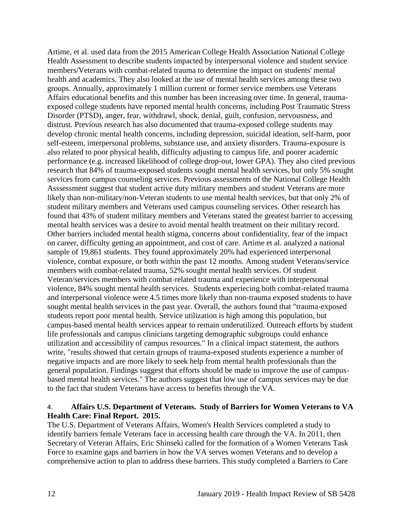Artime, et al. used data from the 2015 American College Health Association National College Health Assessment to describe students impacted by interpersonal violence and student service members/Veterans with combat-related trauma to determine the impact on students' mental health and academics. They also looked at the use of mental health services among these two groups. Annually, approximately 1 million current or former service members use Veterans Affairs educational benefits and this number has been increasing over time. In general, traumaexposed college students have reported mental health concerns, including Post Traumatic Stress Disorder (PTSD), anger, fear, withdrawl, shock, denial, guilt, confusion, nervousness, and distrust. Previous research has also documented that trauma-exposed college students may develop chronic mental health concerns, including depression, suicidal ideation, self-harm, poor self-esteem, interpersonal problems, substance use, and anxiety disorders. Trauma-exposure is also related to poor physical health, difficulty adjusting to campus life, and poorer academic performance (e.g. increased likelihood of college drop-out, lower GPA). They also cited previous research that 84% of trauma-exposed students sought mental health services, but only 5% sought services from campus counseling services. Previous assessments of the National College Health Asssessment suggest that student active duty military members and student Veterans are more likely than non-military/non-Veteran students to use mental health services, but that only 2% of student military members and Veterans used campus counseling services. Other research has found that 43% of student military members and Veterans stated the greatest barrier to accessing mental health services was a desire to avoid mental health treatment on their military record. Other barriers included mental health stigma, concerns about confidentiality, fear of the impact on career, difficulty getting an appointment, and cost of care. Artime et al. analyzed a national sample of 19,861 students. They found approximately 20% had experienced interpersonal violence, combat exposure, or both within the past 12 months. Among student Veterans/service members with combat-related trauma, 52% sought mental health services. Of student Veteran/services members with combat-related trauma and experience with interpersonal violence, 84% sought mental health services. Students experiecing both combat-related trauma and interpersonal violence were 4.5 times more likely than non-trauma exposed students to have sought mental health services in the past year. Overall, the authors found that "trauma-exposed students report poor mental health. Service utilization is high among this population, but campus-based mental health services appear to remain underutilized. Outreach efforts by student life professionals and campus clinicians targeting demographic subgroups could enhance utilization and accessibility of campus resources." In a clinical impact statement, the authors write, "results showed that certain groups of trauma-exposed students experience a number of negative impacts and are more likely to seek help from mental health professionals than the general population. Findings suggest that efforts should be made to improve the use of campusbased mental health services." The authors suggest that low use of campus services may be due to the fact that student Veterans have access to benefits through the VA.

### <span id="page-12-0"></span>4. **Affairs U.S. Department of Veterans. Study of Barriers for Women Veterans to VA Health Care: Final Report. 2015.**

The U.S. Department of Veterans Affairs, Women's Health Services completed a study to identify barriers female Veterans face in accessing health care through the VA. In 2011, then Secretary of Veteran Affairs, Eric Shinseki called for the formation of a Women Veterans Task Force to examine gaps and barriers in how the VA serves women Veterans and to develop a comprehensive action to plan to address these barriers. This study completed a Barriers to Care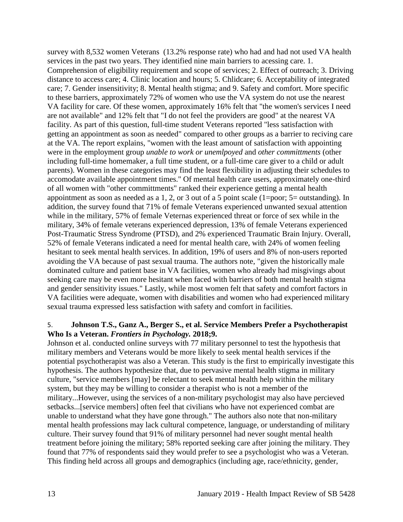survey with 8,532 women Veterans (13.2% response rate) who had and had not used VA health services in the past two years. They identified nine main barriers to acessing care. 1. Comprehension of eligibility requirement and scope of services; 2. Effect of outreach; 3. Driving distance to access care; 4. Clinic location and hours; 5. Chlidcare; 6. Acceptability of integrated care; 7. Gender insensitivity; 8. Mental health stigma; and 9. Safety and comfort. More specific to these barriers, approximately 72% of women who use the VA system do not use the nearest VA facility for care. Of these women, approximately 16% felt that "the women's services I need are not available" and 12% felt that "I do not feel the providers are good" at the nearest VA facility. As part of this question, full-time student Veterans reported "less satisfaction with getting an appointment as soon as needed" compared to other groups as a barrier to reciving care at the VA. The report explains, "women with the least amount of satisfaction with appointing were in the employment group *unable to work or unemlpoyed* and *other committments* (other including full-time homemaker, a full time student, or a full-time care giver to a child or adult parents). Women in these categories may find the least flexibility in adjusting their schedules to accomodate available appointment times." Of mental health care users, approximately one-third of all women with "other committments" ranked their experience getting a mental health appointment as soon as needed as a 1, 2, or 3 out of a 5 point scale (1=poor; 5= outstanding). In addition, the survey found that 71% of female Veterans experienced unwanted sexual attention while in the military, 57% of female Veternas experienced threat or force of sex while in the military, 34% of female veterans experienced depression, 13% of female Veterans experienced Post-Traumatic Stress Syndrome (PTSD), and 2% experienced Traumatic Brain Injury. Overall, 52% of female Veterans indicated a need for mental health care, with 24% of women feeling hesitant to seek mental health services. In addition, 19% of users and 8% of non-users reported avoiding the VA because of past sexual trauma. The authors note, "given the historically male dominated culture and patient base in VA facilities, women who already had misgivings about seeking care may be even more hesitant when faced with barriers of both mental health stigma and gender sensitivity issues." Lastly, while most women felt that safety and comfort factors in VA facilities were adequate, women with disabilities and women who had experienced military sexual trauma expressed less satisfaction with safety and comfort in facilities.

#### 5. **Johnson T.S., Ganz A., Berger S., et al. Service Members Prefer a Psychotherapist Who Is a Veteran.** *Frontiers in Psychology.* **2018;9.**

Johnson et al. conducted online surveys with 77 military personnel to test the hypothesis that military members and Veterans would be more likely to seek mental health services if the potential psychotherapist was also a Veteran. This study is the first to empirically investigate this hypothesis. The authors hypothesize that, due to pervasive mental health stigma in military culture, "service members [may] be relectant to seek mental health help within the military system, but they may be willing to consider a therapist who is not a member of the military...However, using the services of a non-military psychologist may also have percieved setbacks...[service members] often feel that civilians who have not experienced combat are unable to understand what they have gone through." The authors also note that non-military mental health professions may lack cultural competence, language, or understanding of military culture. Their survey found that 91% of military personnel had never sought mental health treatment before joining the military; 58% reported seeking care after joining the military. They found that 77% of respondents said they would prefer to see a psychologist who was a Veteran. This finding held across all groups and demographics (including age, race/ethnicity, gender,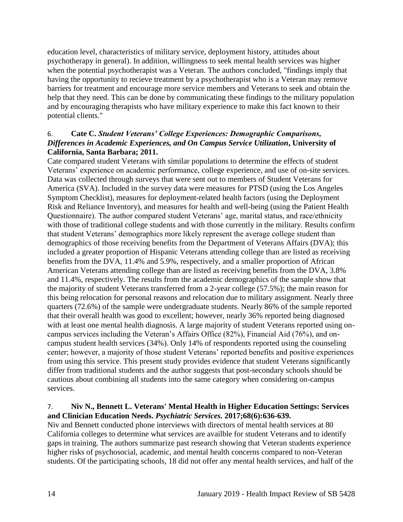education level, characteristics of military service, deployment history, attitudes about psychotherapy in general). In addition, willingness to seek mental health services was higher when the potential psychotherapist was a Veteran. The authors concluded, "findings imply that having the opportunity to recieve treatment by a psychotherapist who is a Veteran may remove barriers for treatment and encourage more service members and Veterans to seek and obtain the help that they need. This can be done by communicating these findings to the military population and by encouraging therapists who have military experience to make this fact known to their potential clients."

## 6. **Cate C.** *Student Veterans' College Experiences: Demographic Comparisons, Differences in Academic Experiences, and On Campus Service Utilization***, University of California, Santa Barbara; 2011.**

Cate compared student Veterans with similar populations to determine the effects of student Veterans' experience on academic performance, college experience, and use of on-site services. Data was collected through surveys that were sent out to members of Student Veterans for America (SVA). Included in the survey data were measures for PTSD (using the Los Angeles Symptom Checklist), measures for deployment-related health factors (using the Deployment Risk and Reliance Inventory), and measures for health and well-being (using the Patient Health Questionnaire). The author compared student Veterans' age, marital status, and race/ethnicity with those of traditional college students and with those currently in the military. Results confirm that student Veterans' demographics more likely represent the average college student than demographics of those receiving benefits from the Department of Veterans Affairs (DVA); this included a greater proportion of Hispanic Veterans attending college than are listed as receiving benefits from the DVA, 11.4% and 5.9%, respectively, and a smaller proportion of African American Veterans attending college than are listed as receiving benefits from the DVA, 3.8% and 11.4%, respectively. The results from the academic demographics of the sample show that the majority of student Veterans transferred from a 2-year college (57.5%); the main reason for this being relocation for personal reasons and relocation due to military assignment. Nearly three quarters (72.6%) of the sample were undergraduate students. Nearly 86% of the sample reported that their overall health was good to excellent; however, nearly 36% reported being diagnosed with at least one mental health diagnosis. A large majority of student Veterans reported using oncampus services including the Veteran's Affairs Office (82%), Financial Aid (76%), and oncampus student health services (34%). Only 14% of respondents reported using the counseling center; however, a majority of those student Veterans' reported benefits and positive experiences from using this service. This present study provides evidence that student Veterans significantly differ from traditional students and the author suggests that post-secondary schools should be cautious about combining all students into the same category when considering on-campus services.

## <span id="page-14-0"></span>7. **Niv N., Bennett L. Veterans' Mental Health in Higher Education Settings: Services and Clinician Education Needs.** *Psychiatric Services.* **2017;68(6):636-639.**

Niv and Bennett conducted phone interviews with directors of mental health services at 80 California colleges to determine what services are availble for student Veterans and to identify gaps in training. The authors summarize past research showing that Veteran students experience higher risks of psychosocial, academic, and mental health concerns compared to non-Veteran students. Of the participating schools, 18 did not offer any mental health services, and half of the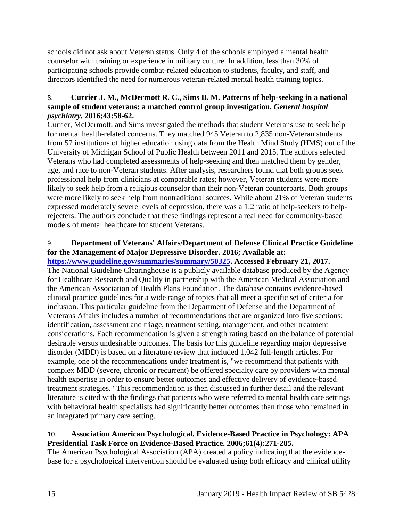schools did not ask about Veteran status. Only 4 of the schools employed a mental health counselor with training or experience in military culture. In addition, less than 30% of participating schools provide combat-related education to students, faculty, and staff, and directors identified the need for numerous veteran-related mental health training topics.

## 8. **Currier J. M., McDermott R. C., Sims B. M. Patterns of help-seeking in a national sample of student veterans: a matched control group investigation.** *General hospital psychiatry.* **2016;43:58-62.**

Currier, McDermott, and Sims investigated the methods that student Veterans use to seek help for mental health-related concerns. They matched 945 Veteran to 2,835 non-Veteran students from 57 institutions of higher education using data from the Health Mind Study (HMS) out of the University of Michigan School of Public Health between 2011 and 2015. The authors selected Veterans who had completed assessments of help-seeking and then matched them by gender, age, and race to non-Veteran students. After analysis, researchers found that both groups seek professional help from clinicians at comparable rates; however, Veteran students were more likely to seek help from a religious counselor than their non-Veteran counterparts. Both groups were more likely to seek help from nontraditional sources. While about 21% of Veteran students expressed moderately severe levels of depression, there was a 1:2 ratio of help-seekers to helprejecters. The authors conclude that these findings represent a real need for community-based models of mental healthcare for student Veterans.

## <span id="page-15-0"></span>9. **Department of Veterans' Affairs/Department of Defense Clinical Practice Guideline for the Management of Major Depressive Disorder. 2016; Available at:**

**[https://www.guideline.gov/summaries/summary/50325.](https://www.guideline.gov/summaries/summary/50325) Accessed February 21, 2017.** The National Guideline Clearinghouse is a publicly available database produced by the Agency for Healthcare Research and Quality in partnership with the American Medical Association and the American Association of Health Plans Foundation. The database contains evidence-based clinical practice guidelines for a wide range of topics that all meet a specific set of criteria for inclusion. This particular guideline from the Department of Defense and the Department of Veterans Affairs includes a number of recommendations that are organized into five sections: identification, assessment and triage, treatment setting, management, and other treatment considerations. Each recommendation is given a strength rating based on the balance of potential desirable versus undesirable outcomes. The basis for this guideline regarding major depressive disorder (MDD) is based on a literature review that included 1,042 full-length articles. For example, one of the recommendations under treatment is, "we recommend that patients with complex MDD (severe, chronic or recurrent) be offered specialty care by providers with mental health expertise in order to ensure better outcomes and effective delivery of evidence-based treatment strategies." This recommendation is then discussed in further detail and the relevant literature is cited with the findings that patients who were referred to mental health care settings with behavioral health specialists had significantly better outcomes than those who remained in an integrated primary care setting.

### <span id="page-15-1"></span>10. **Association American Psychological. Evidence-Based Practice in Psychology: APA Presidential Task Force on Evidence-Based Practice. 2006;61(4):271-285.**

The American Psychological Association (APA) created a policy indicating that the evidencebase for a psychological intervention should be evaluated using both efficacy and clinical utility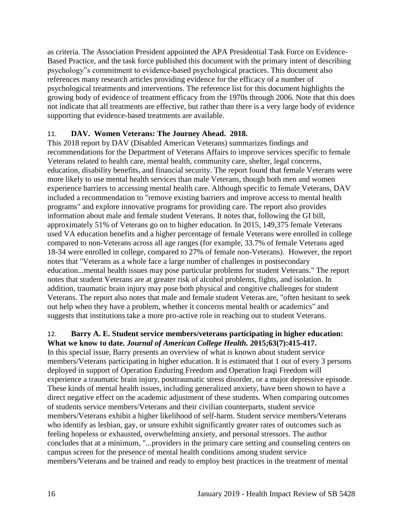as criteria. The Association President appointed the APA Presidential Task Force on Evidence-Based Practice, and the task force published this document with the primary intent of describing psychology"s commitment to evidence-based psychological practices. This document also references many research articles providing evidence for the efficacy of a number of psychological treatments and interventions. The reference list for this document highlights the growing body of evidence of treatment efficacy from the 1970s through 2006. Note that this does not indicate that all treatments are effective, but rather than there is a very large body of evidence supporting that evidence-based treatments are available.

## <span id="page-16-0"></span>11. **DAV. Women Veterans: The Journey Ahead. 2018.**

This 2018 report by DAV (Disabled American Veterans) summarizes findings and recommendations for the Department of Veterans Affairs to improve services specific to female Veterans related to health care, mental health, community care, shelter, legal concerns, education, disability benefits, and financial security. The report found that female Veterans were more likely to use mental health services than male Veterans, though both men and women experience barriers to accessing mental health care. Although specific to female Veterans, DAV included a recommendation to "remove existing barriers and improve access to mental health programs" and explore innovative programs for providing care. The report also provides information about male and female student Veterans. It notes that, following the GI bill, approximately 51% of Veterans go on to higher education. In 2015, 149,375 female Veterans used VA education benefits and a higher percentage of female Veterans were enrolled in college compared to non-Veterans across all age ranges (for example, 33.7% of female Veterans aged 18-34 were enrolled in college, compared to 27% of female non-Veterans). However, the report notes that "Veterans as a whole face a large number of challenges in postsecondary education...mental health issues may pose particular problems for student Veterans." The report notes that student Veterans are at greater risk of alcohol problems, fights, and isolation. In addition, traumatic brain injury may pose both physical and congitive challenges for student Veterans. The report also notes that male and female student Veteras are, "often hesitant to seek out help when they have a problem, whether it concerns mental health or academics" and suggests that institutions take a more pro-active role in reaching out to student Veterans.

## <span id="page-16-1"></span>12. **Barry A. E. Student service members/veterans participating in higher education: What we know to date.** *Journal of American College Health.* **2015;63(7):415-417.**

In this special issue, Barry presents an overview of what is known about student service members/Veterans participating in higher education. It is estimated that 1 out of every 3 persons deployed in support of Operation Enduring Freedom and Operation Iraqi Freedom will experience a traumatic brain injury, posttraumatic stress disorder, or a major depressive episode. These kinds of mental health issues, including generalized anxiety, have been shown to have a direct negative effect on the academic adjustment of these students. When comparing outcomes of students service members/Veterans and their civilian counterparts, student service members/Veterans exhibit a higher likelihood of self-harm. Student service members/Veterans who identify as lesbian, gay, or unsure exhibit significantly greater rates of outcomes such as feeling hopeless or exhausted, overwhelming anxiety, and personal stressors. The author concludes that at a minimum, "...providers in the primary care setting and counseling centers on campus screen for the presence of mental health conditions among student service members/Veterans and be trained and ready to employ best practices in the treatment of mental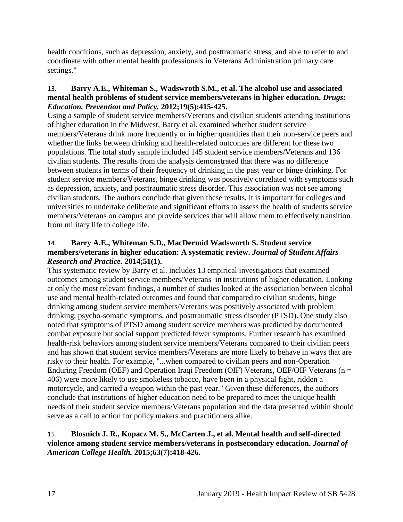health conditions, such as depression, anxiety, and posttraumatic stress, and able to refer to and coordinate with other mental health professionals in Veterans Administration primary care settings."

## <span id="page-17-1"></span>13. **Barry A.E., Whiteman S., Wadswroth S.M., et al. The alcohol use and associated mental health problems of student service members/veterans in higher education.** *Drugs: Education, Prevention and Policy.* **2012;19(5):415-425.**

Using a sample of student service members/Veterans and civilian students attending institutions of higher education in the Midwest, Barry et al. examined whether student service members/Veterans drink more frequently or in higher quantities than their non-service peers and whether the links between drinking and health-related outcomes are different for these two populations. The total study sample included 145 student service members/Veterans and 136 civilian students. The results from the analysis demonstrated that there was no difference between students in terms of their frequency of drinking in the past year or binge drinking. For student service members/Veterans, binge drinking was positively correlated with symptoms such as depression, anxiety, and posttraumatic stress disorder. This association was not see among civilian students. The authors conclude that given these results, it is important for colleges and universities to undertake deliberate and significant efforts to assess the health of students service members/Veterans on campus and provide services that will allow them to effectively transition from military life to college life.

## <span id="page-17-2"></span>14. **Barry A.E., Whiteman S.D., MacDermid Wadsworth S. Student service members/veterans in higher education: A systematic review.** *Journal of Student Affairs Research and Practice.* **2014;51(1).**

This systematic review by Barry et al. includes 13 empirical investigations that examined outcomes among student service members/Veterans in institutions of higher education. Looking at only the most relevant findings, a number of studies looked at the association between alcohol use and mental health-related outcomes and found that compared to civilian students, binge drinking among student service members/Veterans was positively associated with problem drinking, psycho-somatic symptoms, and posttraumatic stress disorder (PTSD). One study also noted that symptoms of PTSD among student service members was predicted by documented combat exposure but social support predicted fewer symptoms. Further research has examined health-risk behaviors among student service members/Veterans compared to their civilian peers and has shown that student service members/Veterans are more likely to behave in ways that are risky to their health. For example, "...when compared to civilian peers and non-Operation Enduring Freedom (OEF) and Operation Iraqi Freedom (OIF) Veterans, OEF/OIF Veterans ( $n =$ 406) were more likely to use smokeless tobacco, have been in a physical fight, ridden a motorcycle, and carried a weapon within the past year." Given these differences, the authors conclude that institutions of higher education need to be prepared to meet the unique health needs of their student service members/Veterans population and the data presented within should serve as a call to action for policy makers and practitioners alike.

## <span id="page-17-0"></span>15. **Blosnich J. R., Kopacz M. S., McCarten J., et al. Mental health and self-directed violence among student service members/veterans in postsecondary education.** *Journal of American College Health.* **2015;63(7):418-426.**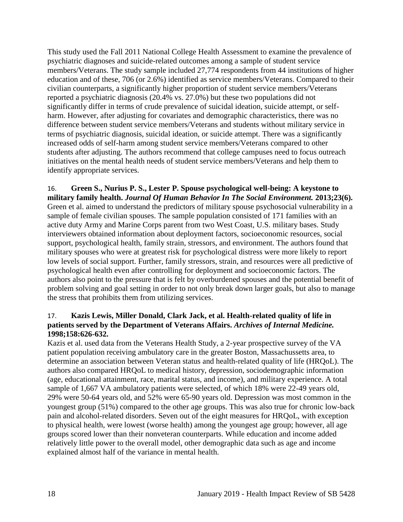This study used the Fall 2011 National College Health Assessment to examine the prevalence of psychiatric diagnoses and suicide-related outcomes among a sample of student service members/Veterans. The study sample included 27,774 respondents from 44 institutions of higher education and of these, 706 (or 2.6%) identified as service members/Veterans. Compared to their civilian counterparts, a significantly higher proportion of student service members/Veterans reported a psychiatric diagnosis (20.4% vs. 27.0%) but these two populations did not significantly differ in terms of crude prevalence of suicidal ideation, suicide attempt, or selfharm. However, after adjusting for covariates and demographic characteristics, there was no difference between student service members/Veterans and students without military service in terms of psychiatric diagnosis, suicidal ideation, or suicide attempt. There was a significantly increased odds of self-harm among student service members/Veterans compared to other students after adjusting. The authors recommend that college campuses need to focus outreach initiatives on the mental health needs of student service members/Veterans and help them to identify appropriate services.

<span id="page-18-0"></span>16. **Green S., Nurius P. S., Lester P. Spouse psychological well-being: A keystone to military family health.** *Journal Of Human Behavior In The Social Environment.* **2013;23(6).** Green et al. aimed to understand the predictors of military spouse psychosocial vulnerability in a sample of female civilian spouses. The sample population consisted of 171 families with an active duty Army and Marine Corps parent from two West Coast, U.S. military bases. Study interviewers obtained information about deployment factors, socioeconomic resources, social support, psychological health, family strain, stressors, and environment. The authors found that military spouses who were at greatest risk for psychological distress were more likely to report low levels of social support. Further, family stressors, strain, and resources were all predictive of psychological health even after controlling for deployment and socioeconomic factors. The authors also point to the pressure that is felt by overburdened spouses and the potential benefit of problem solving and goal setting in order to not only break down larger goals, but also to manage the stress that prohibits them from utilizing services.

## <span id="page-18-1"></span>17. **Kazis Lewis, Miller Donald, Clark Jack, et al. Health-related quality of life in patients served by the Department of Veterans Affairs.** *Archives of Internal Medicine.*  **1998;158:626-632.**

Kazis et al. used data from the Veterans Health Study, a 2-year prospective survey of the VA patient population receiving ambulatory care in the greater Boston, Massachussetts area, to determine an association between Veteran status and health-related quality of life (HRQoL). The authors also compared HRQoL to medical history, depression, sociodemographic information (age, educational attainment, race, marital status, and income), and military experience. A total sample of 1,667 VA ambulatory patients were selected, of which 18% were 22-49 years old, 29% were 50-64 years old, and 52% were 65-90 years old. Depression was most common in the youngest group (51%) compared to the other age groups. This was also true for chronic low-back pain and alcohol-related disorders. Seven out of the eight measures for HRQoL, with exception to physical health, were lowest (worse health) among the youngest age group; however, all age groups scored lower than their nonveteran counterparts. While education and income added relatively little power to the overall model, other demographic data such as age and income explained almost half of the variance in mental health.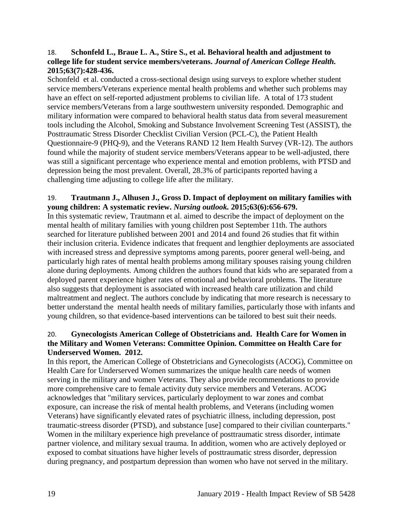### <span id="page-19-0"></span>18. **Schonfeld L., Braue L. A., Stire S., et al. Behavioral health and adjustment to college life for student service members/veterans.** *Journal of American College Health.*  **2015;63(7):428-436.**

Schonfeld et al. conducted a cross-sectional design using surveys to explore whether student service members/Veterans experience mental health problems and whether such problems may have an effect on self-reported adjustment problems to civilian life. A total of 173 student service members/Veterans from a large southwestern university responded. Demographic and military information were compared to behavioral health status data from several measurement tools including the Alcohol, Smoking and Substance Involvement Screening Test (ASSIST), the Posttraumatic Stress Disorder Checklist Civilian Version (PCL-C), the Patient Health Questionnaire-9 (PHQ-9), and the Veterans RAND 12 Item Health Survey (VR-12). The authors found while the majority of student service members/Veterans appear to be well-adjusted, there was still a significant percentage who experience mental and emotion problems, with PTSD and depression being the most prevalent. Overall, 28.3% of participants reported having a challenging time adjusting to college life after the military.

## <span id="page-19-2"></span>19. **Trautmann J., Alhusen J., Gross D. Impact of deployment on military families with young children: A systematic review.** *Nursing outlook.* **2015;63(6):656-679.**

In this systematic review, Trautmann et al. aimed to describe the impact of deployment on the mental health of military families with young children post September 11th. The authors searched for literature published between 2001 and 2014 and found 26 studies that fit within their inclusion criteria. Evidence indicates that frequent and lengthier deployments are associated with increased stress and depressive symptoms among parents, poorer general well-being, and particularly high rates of mental health problems among military spouses raising young children alone during deployments. Among children the authors found that kids who are separated from a deployed parent experience higher rates of emotional and behavioral problems. The literature also suggests that deployment is associated with increased health care utilization and child maltreatment and neglect. The authors conclude by indicating that more research is necessary to better understand the mental health needs of military families, particularly those with infants and young children, so that evidence-based interventions can be tailored to best suit their needs.

## <span id="page-19-1"></span>20. **Gynecologists American College of Obstetricians and. Health Care for Women in the Military and Women Veterans: Committee Opinion. Committee on Health Care for Underserved Women. 2012.**

In this report, the American College of Obstetricians and Gynecologists (ACOG), Committee on Health Care for Underserved Women summarizes the unique health care needs of women serving in the military and women Veterans. They also provide recommendations to provide more comprehensive care to female activity duty service members and Veterans. ACOG acknowledges that "military services, particularly deployment to war zones and combat exposure, can increase the risk of mental health problems, and Veterans (including women Veterans) have significantly elevated rates of psychiatric illness, including depression, post traumatic-streess disorder (PTSD), and substance [use] compared to their civilian counterparts." Women in the mililtary experience high prevelance of posttraumatic stress disorder, intimate partner violence, and military sexual trauma. In addition, women who are actively deployed or exposed to combat situations have higher levels of posttraumatic stress disorder, depression during pregnancy, and postpartum depression than women who have not served in the military.